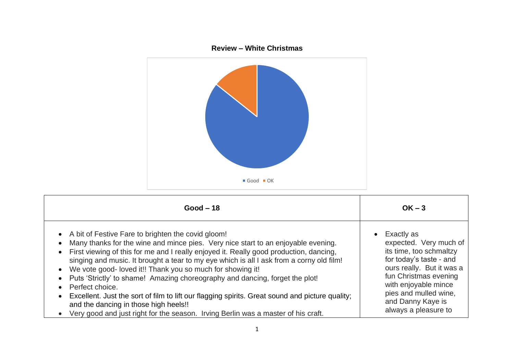

| $Good - 18$                                                                                                                                                                                                                                                                                                                                                                                                                                                                                                                                                                                                                                                                                                                        | $OK - 3$                                                                                                                                                                                                                                                    |
|------------------------------------------------------------------------------------------------------------------------------------------------------------------------------------------------------------------------------------------------------------------------------------------------------------------------------------------------------------------------------------------------------------------------------------------------------------------------------------------------------------------------------------------------------------------------------------------------------------------------------------------------------------------------------------------------------------------------------------|-------------------------------------------------------------------------------------------------------------------------------------------------------------------------------------------------------------------------------------------------------------|
| • A bit of Festive Fare to brighten the covid gloom!<br>Many thanks for the wine and mince pies. Very nice start to an enjoyable evening.<br>First viewing of this for me and I really enjoyed it. Really good production, dancing,<br>singing and music. It brought a tear to my eye which is all I ask from a corny old film!<br>We vote good-loved it!! Thank you so much for showing it!<br>Puts 'Strictly' to shame! Amazing choreography and dancing, forget the plot!<br>Perfect choice.<br>Excellent. Just the sort of film to lift our flagging spirits. Great sound and picture quality;<br>and the dancing in those high heels!!<br>• Very good and just right for the season. Irving Berlin was a master of his craft. | Exactly as<br>$\bullet$<br>expected. Very much of<br>its time, too schmaltzy<br>for today's taste - and<br>ours really. But it was a<br>fun Christmas evening<br>with enjoyable mince<br>pies and mulled wine,<br>and Danny Kaye is<br>always a pleasure to |